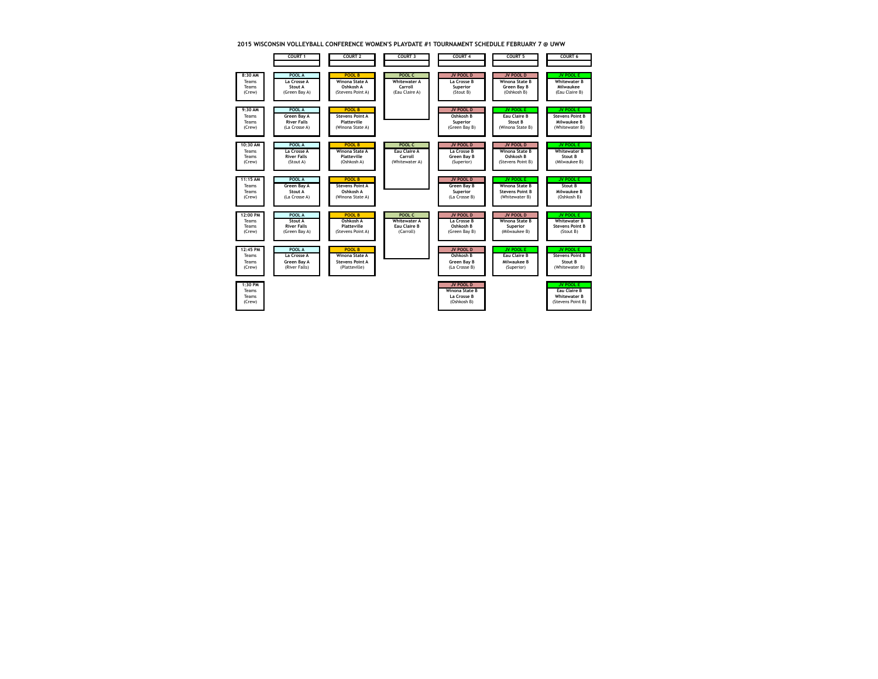**2015 WISCONSIN VOLLEYBALL CONFERENCE WOMEN'S PLAYDATE #1 TOURNAMENT SCHEDULE FEBRUARY 7 @ UWW**

|                                     | COURT <sub>1</sub> | <b>COURT 2</b>         | <b>COURT 3</b>      | COURT <sub>4</sub>                                               | <b>COURT 5</b>         | COURT <sub>6</sub>                                                           |
|-------------------------------------|--------------------|------------------------|---------------------|------------------------------------------------------------------|------------------------|------------------------------------------------------------------------------|
| 8:30 AM                             | POOL A             | POOL B                 | POOL C              | <b>JV POOL D</b>                                                 | <b>JV POOL D</b>       | JV POOL E                                                                    |
| Teams                               | La Crosse A        | Winona State A         | <b>Whitewater A</b> | La Crosse B                                                      | Winona State B         | Whitewater B                                                                 |
| Teams                               | Stout A            | Oshkosh A              | Carroll             | Superior                                                         | Green Bay B            | Milwaukee                                                                    |
| (Crew)                              | (Green Bav A)      | (Stevens Point A)      | (Eau Claire A)      | (Stout B)                                                        | (Oshkosh B)            | (Eau Claire B)                                                               |
| $9:30$ AM                           | POOL A             | POOL B                 |                     | <b>JV POOL D</b>                                                 | JV POOL E              | JV POOL E                                                                    |
| Teams                               | <b>Green Bay A</b> | <b>Stevens Point A</b> |                     | Oshkosh B                                                        | <b>Eau Claire B</b>    | <b>Stevens Point B</b>                                                       |
| Teams                               | <b>River Falls</b> | Platteville            |                     | Superior                                                         | Stout B                | Milwaukee B                                                                  |
| (Crew)                              | (La Crosse A)      | (Winona State A)       |                     | (Green Bay B)                                                    | (Winona State B)       | (Whitewater B)                                                               |
| 10:30 AM                            | POOL A             | POOL B                 | POOL C              | <b>JV POOL D</b>                                                 | <b>JV POOL D</b>       | JV POOL E                                                                    |
| Teams                               | La Crosse A        | Winona State A         | <b>Eau Claire A</b> | La Crosse B                                                      | Winona State B         | Whitewater B                                                                 |
| Teams                               | <b>River Falls</b> | Platteville            | Carroll             | Green Bay B                                                      | Oshkosh B              | Stout B                                                                      |
| (Crew)                              | (Stout A)          | (Oshkosh A)            | (Whitewater A)      | (Superior)                                                       | (Stevens Point B)      | (Milwaukee B)                                                                |
| 11:15 AM                            | POOL A             | POOL B                 |                     | <b>JV POOL D</b>                                                 | JV POOL E              | JV POOL E                                                                    |
| Teams                               | <b>Green Bay A</b> | <b>Stevens Point A</b> |                     | <b>Green Bay B</b>                                               | Winona State B         | Stout B                                                                      |
| Teams                               | <b>Stout A</b>     | Oshkosh A              |                     | Superior                                                         | <b>Stevens Point B</b> | Milwaukee B                                                                  |
| (Crew)                              | (La Crosse A)      | (Winona State A)       |                     | (La Crosse B)                                                    | (Whitewater B)         | (Oshkosh B)                                                                  |
| 12:00 PM                            | POOL A             | POOL B                 | POOL C              | <b>JV POOL D</b>                                                 | <b>JV POOL D</b>       | JV POOL E                                                                    |
| Teams                               | Stout A            | Oshkosh A              | <b>Whitewater A</b> | La Crosse B                                                      | Winona State B         | <b>Whitewater B</b>                                                          |
| Teams                               | <b>River Falls</b> | Platteville            | Eau Claire B        | Oshkosh B                                                        | Superior               | <b>Stevens Point B</b>                                                       |
| (Crew)                              | (Green Bav A)      | (Stevens Point A)      | (Carroll)           | (Green Bay B)                                                    | (Milwaukee B)          | (Stout B)                                                                    |
| 12:45 PM                            | POOL A             | POOL B                 |                     | <b>JV POOL D</b>                                                 | JV POOL E              | JV POOL E                                                                    |
| Teams                               | La Crosse A        | Winona State A         |                     | Oshkosh B                                                        | <b>Eau Claire B</b>    | <b>Stevens Point B</b>                                                       |
| Teams                               | Green Bay A        | <b>Stevens Point A</b> |                     | Green Bay B                                                      | Milwaukee B            | Stout B                                                                      |
| (Crew)                              | (River Falls)      | (Platteville)          |                     | (La Crosse B)                                                    | (Superior)             | (Whitewater B)                                                               |
| 1:30 PM<br>Teams<br>Teams<br>(Crew) |                    |                        |                     | <b>JV POOL D</b><br>Winona State B<br>La Crosse B<br>(Oshkosh B) |                        | JV POOL E<br><b>Eau Claire B</b><br><b>Whitewater B</b><br>(Stevens Point B) |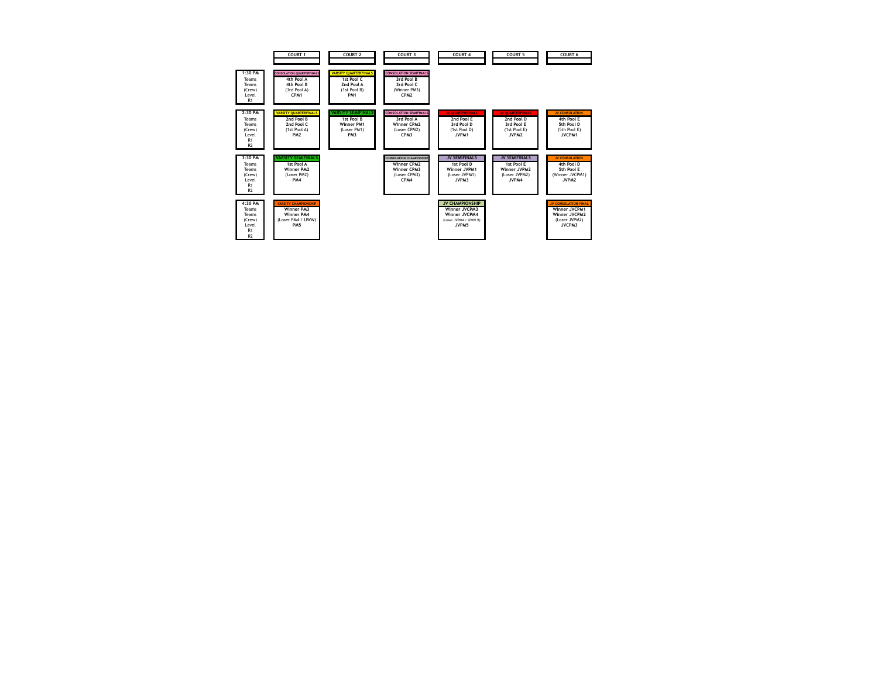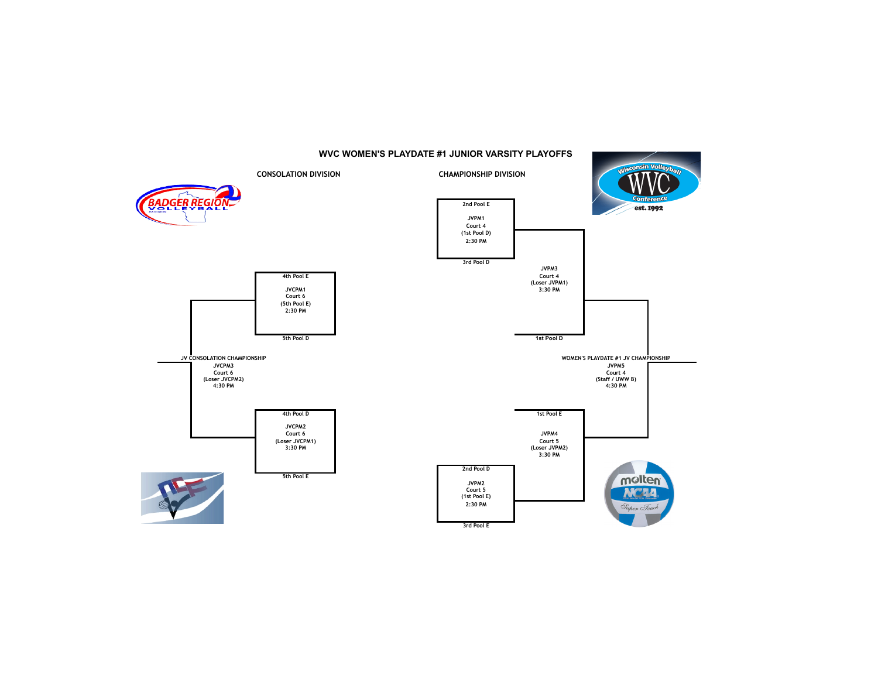

## **WVC WOMEN'S PLAYDATE #1 JUNIOR VARSITY PLAYOFFS**